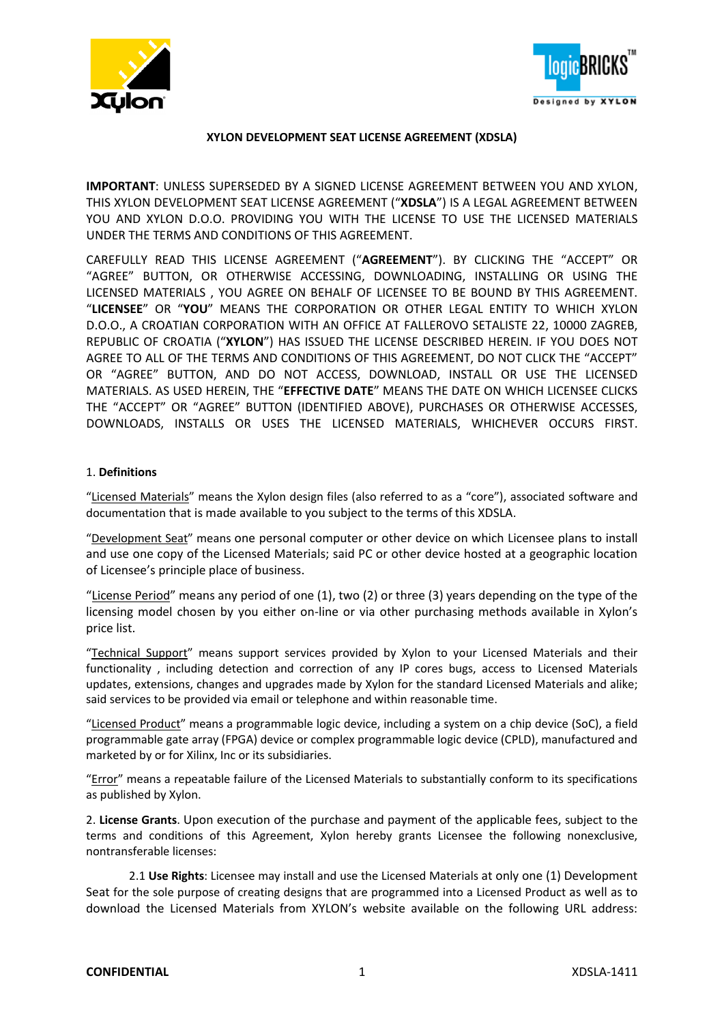



# **XYLON DEVELOPMENT SEAT LICENSE AGREEMENT (XDSLA)**

**IMPORTANT**: UNLESS SUPERSEDED BY A SIGNED LICENSE AGREEMENT BETWEEN YOU AND XYLON, THIS XYLON DEVELOPMENT SEAT LICENSE AGREEMENT ("**XDSLA**") IS A LEGAL AGREEMENT BETWEEN YOU AND XYLON D.O.O. PROVIDING YOU WITH THE LICENSE TO USE THE LICENSED MATERIALS UNDER THE TERMS AND CONDITIONS OF THIS AGREEMENT.

CAREFULLY READ THIS LICENSE AGREEMENT ("**AGREEMENT**"). BY CLICKING THE "ACCEPT" OR "AGREE" BUTTON, OR OTHERWISE ACCESSING, DOWNLOADING, INSTALLING OR USING THE LICENSED MATERIALS , YOU AGREE ON BEHALF OF LICENSEE TO BE BOUND BY THIS AGREEMENT. "**LICENSEE**" OR "**YOU**" MEANS THE CORPORATION OR OTHER LEGAL ENTITY TO WHICH XYLON D.O.O., A CROATIAN CORPORATION WITH AN OFFICE AT FALLEROVO SETALISTE 22, 10000 ZAGREB, REPUBLIC OF CROATIA ("**XYLON**") HAS ISSUED THE LICENSE DESCRIBED HEREIN. IF YOU DOES NOT AGREE TO ALL OF THE TERMS AND CONDITIONS OF THIS AGREEMENT, DO NOT CLICK THE "ACCEPT" OR "AGREE" BUTTON, AND DO NOT ACCESS, DOWNLOAD, INSTALL OR USE THE LICENSED MATERIALS. AS USED HEREIN, THE "**EFFECTIVE DATE**" MEANS THE DATE ON WHICH LICENSEE CLICKS THE "ACCEPT" OR "AGREE" BUTTON (IDENTIFIED ABOVE), PURCHASES OR OTHERWISE ACCESSES, DOWNLOADS, INSTALLS OR USES THE LICENSED MATERIALS, WHICHEVER OCCURS FIRST.

# 1. **Definitions**

"Licensed Materials" means the Xylon design files (also referred to as a "core"), associated software and documentation that is made available to you subject to the terms of this XDSLA.

"Development Seat" means one personal computer or other device on which Licensee plans to install and use one copy of the Licensed Materials; said PC or other device hosted at a geographic location of Licensee's principle place of business.

"License Period" means any period of one (1), two (2) or three (3) years depending on the type of the licensing model chosen by you either on-line or via other purchasing methods available in Xylon's price list.

"Technical Support" means support services provided by Xylon to your Licensed Materials and their functionality , including detection and correction of any IP cores bugs, access to Licensed Materials updates, extensions, changes and upgrades made by Xylon for the standard Licensed Materials and alike; said services to be provided via email or telephone and within reasonable time.

"Licensed Product" means a programmable logic device, including a system on a chip device (SoC), a field programmable gate array (FPGA) device or complex programmable logic device (CPLD), manufactured and marketed by or for Xilinx, Inc or its subsidiaries.

"Error" means a repeatable failure of the Licensed Materials to substantially conform to its specifications as published by Xylon.

2. **License Grants**. Upon execution of the purchase and payment of the applicable fees, subject to the terms and conditions of this Agreement, Xylon hereby grants Licensee the following nonexclusive, nontransferable licenses:

2.1 **Use Rights**: Licensee may install and use the Licensed Materials at only one (1) Development Seat for the sole purpose of creating designs that are programmed into a Licensed Product as well as to download the Licensed Materials from XYLON's website available on the following URL address: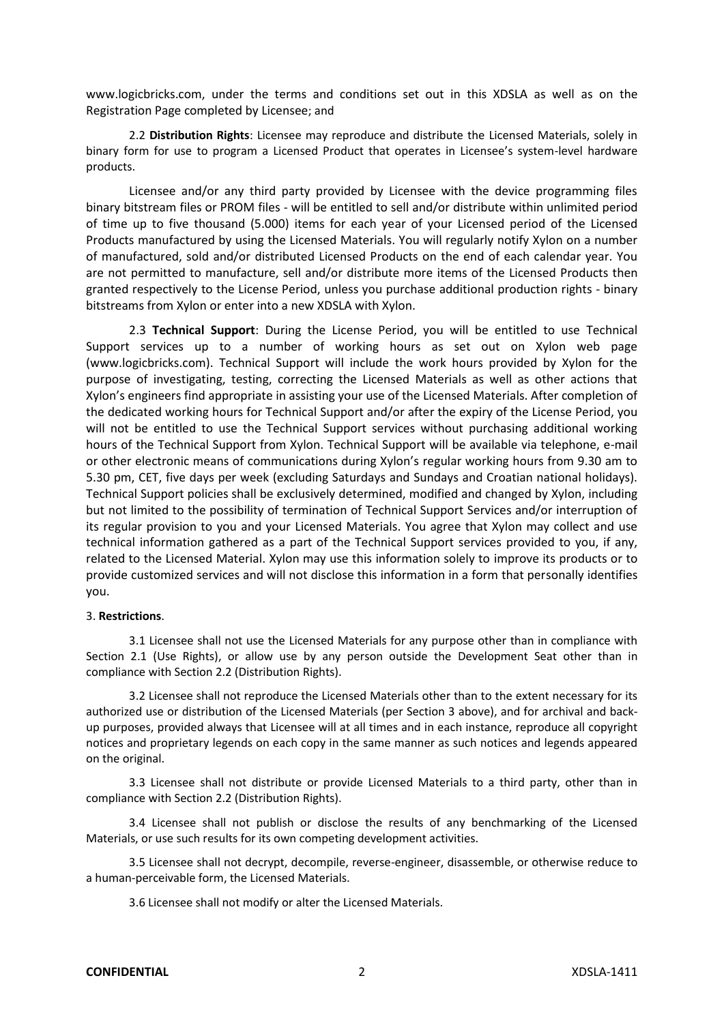www.logicbricks.com, under the terms and conditions set out in this XDSLA as well as on the Registration Page completed by Licensee; and

2.2 **Distribution Rights**: Licensee may reproduce and distribute the Licensed Materials, solely in binary form for use to program a Licensed Product that operates in Licensee's system-level hardware products.

Licensee and/or any third party provided by Licensee with the device programming files binary bitstream files or PROM files - will be entitled to sell and/or distribute within unlimited period of time up to five thousand (5.000) items for each year of your Licensed period of the Licensed Products manufactured by using the Licensed Materials. You will regularly notify Xylon on a number of manufactured, sold and/or distributed Licensed Products on the end of each calendar year. You are not permitted to manufacture, sell and/or distribute more items of the Licensed Products then granted respectively to the License Period, unless you purchase additional production rights - binary bitstreams from Xylon or enter into a new XDSLA with Xylon.

2.3 **Technical Support**: During the License Period, you will be entitled to use Technical Support services up to a number of working hours as set out on Xylon web page (www.logicbricks.com). Technical Support will include the work hours provided by Xylon for the purpose of investigating, testing, correcting the Licensed Materials as well as other actions that Xylon's engineers find appropriate in assisting your use of the Licensed Materials. After completion of the dedicated working hours for Technical Support and/or after the expiry of the License Period, you will not be entitled to use the Technical Support services without purchasing additional working hours of the Technical Support from Xylon. Technical Support will be available via telephone, e-mail or other electronic means of communications during Xylon's regular working hours from 9.30 am to 5.30 pm, CET, five days per week (excluding Saturdays and Sundays and Croatian national holidays). Technical Support policies shall be exclusively determined, modified and changed by Xylon, including but not limited to the possibility of termination of Technical Support Services and/or interruption of its regular provision to you and your Licensed Materials. You agree that Xylon may collect and use technical information gathered as a part of the Technical Support services provided to you, if any, related to the Licensed Material. Xylon may use this information solely to improve its products or to provide customized services and will not disclose this information in a form that personally identifies you.

# 3. **Restrictions**.

3.1 Licensee shall not use the Licensed Materials for any purpose other than in compliance with Section 2.1 (Use Rights), or allow use by any person outside the Development Seat other than in compliance with Section 2.2 (Distribution Rights).

3.2 Licensee shall not reproduce the Licensed Materials other than to the extent necessary for its authorized use or distribution of the Licensed Materials (per Section 3 above), and for archival and backup purposes, provided always that Licensee will at all times and in each instance, reproduce all copyright notices and proprietary legends on each copy in the same manner as such notices and legends appeared on the original.

3.3 Licensee shall not distribute or provide Licensed Materials to a third party, other than in compliance with Section 2.2 (Distribution Rights).

3.4 Licensee shall not publish or disclose the results of any benchmarking of the Licensed Materials, or use such results for its own competing development activities.

3.5 Licensee shall not decrypt, decompile, reverse-engineer, disassemble, or otherwise reduce to a human-perceivable form, the Licensed Materials.

3.6 Licensee shall not modify or alter the Licensed Materials.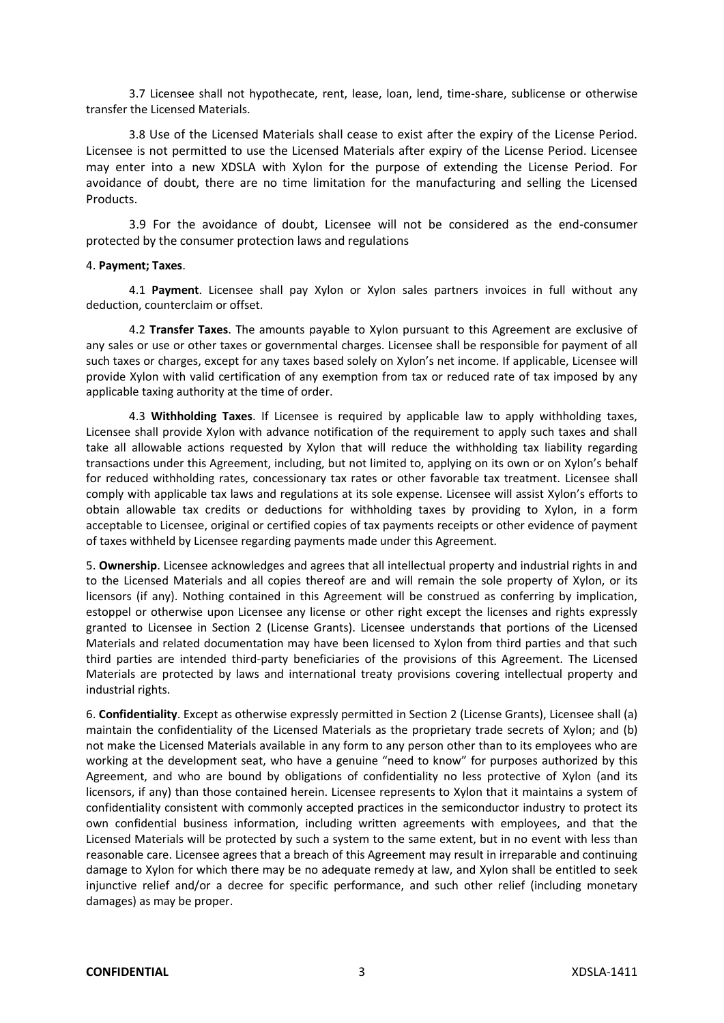3.7 Licensee shall not hypothecate, rent, lease, loan, lend, time-share, sublicense or otherwise transfer the Licensed Materials.

3.8 Use of the Licensed Materials shall cease to exist after the expiry of the License Period. Licensee is not permitted to use the Licensed Materials after expiry of the License Period. Licensee may enter into a new XDSLA with Xylon for the purpose of extending the License Period. For avoidance of doubt, there are no time limitation for the manufacturing and selling the Licensed Products.

3.9 For the avoidance of doubt, Licensee will not be considered as the end-consumer protected by the consumer protection laws and regulations

### 4. **Payment; Taxes**.

4.1 **Payment**. Licensee shall pay Xylon or Xylon sales partners invoices in full without any deduction, counterclaim or offset.

4.2 **Transfer Taxes**. The amounts payable to Xylon pursuant to this Agreement are exclusive of any sales or use or other taxes or governmental charges. Licensee shall be responsible for payment of all such taxes or charges, except for any taxes based solely on Xylon's net income. If applicable, Licensee will provide Xylon with valid certification of any exemption from tax or reduced rate of tax imposed by any applicable taxing authority at the time of order.

4.3 **Withholding Taxes**. If Licensee is required by applicable law to apply withholding taxes, Licensee shall provide Xylon with advance notification of the requirement to apply such taxes and shall take all allowable actions requested by Xylon that will reduce the withholding tax liability regarding transactions under this Agreement, including, but not limited to, applying on its own or on Xylon's behalf for reduced withholding rates, concessionary tax rates or other favorable tax treatment. Licensee shall comply with applicable tax laws and regulations at its sole expense. Licensee will assist Xylon's efforts to obtain allowable tax credits or deductions for withholding taxes by providing to Xylon, in a form acceptable to Licensee, original or certified copies of tax payments receipts or other evidence of payment of taxes withheld by Licensee regarding payments made under this Agreement.

5. **Ownership**. Licensee acknowledges and agrees that all intellectual property and industrial rights in and to the Licensed Materials and all copies thereof are and will remain the sole property of Xylon, or its licensors (if any). Nothing contained in this Agreement will be construed as conferring by implication, estoppel or otherwise upon Licensee any license or other right except the licenses and rights expressly granted to Licensee in Section 2 (License Grants). Licensee understands that portions of the Licensed Materials and related documentation may have been licensed to Xylon from third parties and that such third parties are intended third-party beneficiaries of the provisions of this Agreement. The Licensed Materials are protected by laws and international treaty provisions covering intellectual property and industrial rights.

6. **Confidentiality**. Except as otherwise expressly permitted in Section 2 (License Grants), Licensee shall (a) maintain the confidentiality of the Licensed Materials as the proprietary trade secrets of Xylon; and (b) not make the Licensed Materials available in any form to any person other than to its employees who are working at the development seat, who have a genuine "need to know" for purposes authorized by this Agreement, and who are bound by obligations of confidentiality no less protective of Xylon (and its licensors, if any) than those contained herein. Licensee represents to Xylon that it maintains a system of confidentiality consistent with commonly accepted practices in the semiconductor industry to protect its own confidential business information, including written agreements with employees, and that the Licensed Materials will be protected by such a system to the same extent, but in no event with less than reasonable care. Licensee agrees that a breach of this Agreement may result in irreparable and continuing damage to Xylon for which there may be no adequate remedy at law, and Xylon shall be entitled to seek injunctive relief and/or a decree for specific performance, and such other relief (including monetary damages) as may be proper.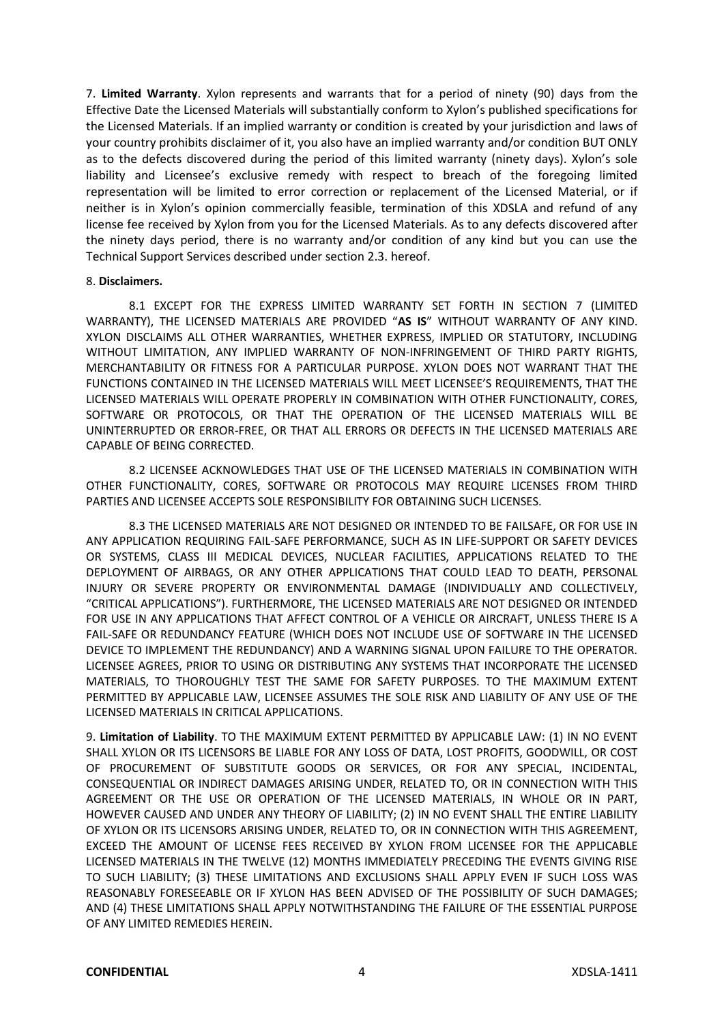7. **Limited Warranty**. Xylon represents and warrants that for a period of ninety (90) days from the Effective Date the Licensed Materials will substantially conform to Xylon's published specifications for the Licensed Materials. If an implied warranty or condition is created by your jurisdiction and laws of your country prohibits disclaimer of it, you also have an implied warranty and/or condition BUT ONLY as to the defects discovered during the period of this limited warranty (ninety days). Xylon's sole liability and Licensee's exclusive remedy with respect to breach of the foregoing limited representation will be limited to error correction or replacement of the Licensed Material, or if neither is in Xylon's opinion commercially feasible, termination of this XDSLA and refund of any license fee received by Xylon from you for the Licensed Materials. As to any defects discovered after the ninety days period, there is no warranty and/or condition of any kind but you can use the Technical Support Services described under section 2.3. hereof.

### 8. **Disclaimers.**

8.1 EXCEPT FOR THE EXPRESS LIMITED WARRANTY SET FORTH IN SECTION 7 (LIMITED WARRANTY), THE LICENSED MATERIALS ARE PROVIDED "**AS IS**" WITHOUT WARRANTY OF ANY KIND. XYLON DISCLAIMS ALL OTHER WARRANTIES, WHETHER EXPRESS, IMPLIED OR STATUTORY, INCLUDING WITHOUT LIMITATION, ANY IMPLIED WARRANTY OF NON-INFRINGEMENT OF THIRD PARTY RIGHTS, MERCHANTABILITY OR FITNESS FOR A PARTICULAR PURPOSE. XYLON DOES NOT WARRANT THAT THE FUNCTIONS CONTAINED IN THE LICENSED MATERIALS WILL MEET LICENSEE'S REQUIREMENTS, THAT THE LICENSED MATERIALS WILL OPERATE PROPERLY IN COMBINATION WITH OTHER FUNCTIONALITY, CORES, SOFTWARE OR PROTOCOLS, OR THAT THE OPERATION OF THE LICENSED MATERIALS WILL BE UNINTERRUPTED OR ERROR-FREE, OR THAT ALL ERRORS OR DEFECTS IN THE LICENSED MATERIALS ARE CAPABLE OF BEING CORRECTED.

8.2 LICENSEE ACKNOWLEDGES THAT USE OF THE LICENSED MATERIALS IN COMBINATION WITH OTHER FUNCTIONALITY, CORES, SOFTWARE OR PROTOCOLS MAY REQUIRE LICENSES FROM THIRD PARTIES AND LICENSEE ACCEPTS SOLE RESPONSIBILITY FOR OBTAINING SUCH LICENSES.

8.3 THE LICENSED MATERIALS ARE NOT DESIGNED OR INTENDED TO BE FAILSAFE, OR FOR USE IN ANY APPLICATION REQUIRING FAIL-SAFE PERFORMANCE, SUCH AS IN LIFE-SUPPORT OR SAFETY DEVICES OR SYSTEMS, CLASS III MEDICAL DEVICES, NUCLEAR FACILITIES, APPLICATIONS RELATED TO THE DEPLOYMENT OF AIRBAGS, OR ANY OTHER APPLICATIONS THAT COULD LEAD TO DEATH, PERSONAL INJURY OR SEVERE PROPERTY OR ENVIRONMENTAL DAMAGE (INDIVIDUALLY AND COLLECTIVELY, "CRITICAL APPLICATIONS"). FURTHERMORE, THE LICENSED MATERIALS ARE NOT DESIGNED OR INTENDED FOR USE IN ANY APPLICATIONS THAT AFFECT CONTROL OF A VEHICLE OR AIRCRAFT, UNLESS THERE IS A FAIL-SAFE OR REDUNDANCY FEATURE (WHICH DOES NOT INCLUDE USE OF SOFTWARE IN THE LICENSED DEVICE TO IMPLEMENT THE REDUNDANCY) AND A WARNING SIGNAL UPON FAILURE TO THE OPERATOR. LICENSEE AGREES, PRIOR TO USING OR DISTRIBUTING ANY SYSTEMS THAT INCORPORATE THE LICENSED MATERIALS, TO THOROUGHLY TEST THE SAME FOR SAFETY PURPOSES. TO THE MAXIMUM EXTENT PERMITTED BY APPLICABLE LAW, LICENSEE ASSUMES THE SOLE RISK AND LIABILITY OF ANY USE OF THE LICENSED MATERIALS IN CRITICAL APPLICATIONS.

9. **Limitation of Liability**. TO THE MAXIMUM EXTENT PERMITTED BY APPLICABLE LAW: (1) IN NO EVENT SHALL XYLON OR ITS LICENSORS BE LIABLE FOR ANY LOSS OF DATA, LOST PROFITS, GOODWILL, OR COST OF PROCUREMENT OF SUBSTITUTE GOODS OR SERVICES, OR FOR ANY SPECIAL, INCIDENTAL, CONSEQUENTIAL OR INDIRECT DAMAGES ARISING UNDER, RELATED TO, OR IN CONNECTION WITH THIS AGREEMENT OR THE USE OR OPERATION OF THE LICENSED MATERIALS, IN WHOLE OR IN PART, HOWEVER CAUSED AND UNDER ANY THEORY OF LIABILITY; (2) IN NO EVENT SHALL THE ENTIRE LIABILITY OF XYLON OR ITS LICENSORS ARISING UNDER, RELATED TO, OR IN CONNECTION WITH THIS AGREEMENT, EXCEED THE AMOUNT OF LICENSE FEES RECEIVED BY XYLON FROM LICENSEE FOR THE APPLICABLE LICENSED MATERIALS IN THE TWELVE (12) MONTHS IMMEDIATELY PRECEDING THE EVENTS GIVING RISE TO SUCH LIABILITY; (3) THESE LIMITATIONS AND EXCLUSIONS SHALL APPLY EVEN IF SUCH LOSS WAS REASONABLY FORESEEABLE OR IF XYLON HAS BEEN ADVISED OF THE POSSIBILITY OF SUCH DAMAGES; AND (4) THESE LIMITATIONS SHALL APPLY NOTWITHSTANDING THE FAILURE OF THE ESSENTIAL PURPOSE OF ANY LIMITED REMEDIES HEREIN.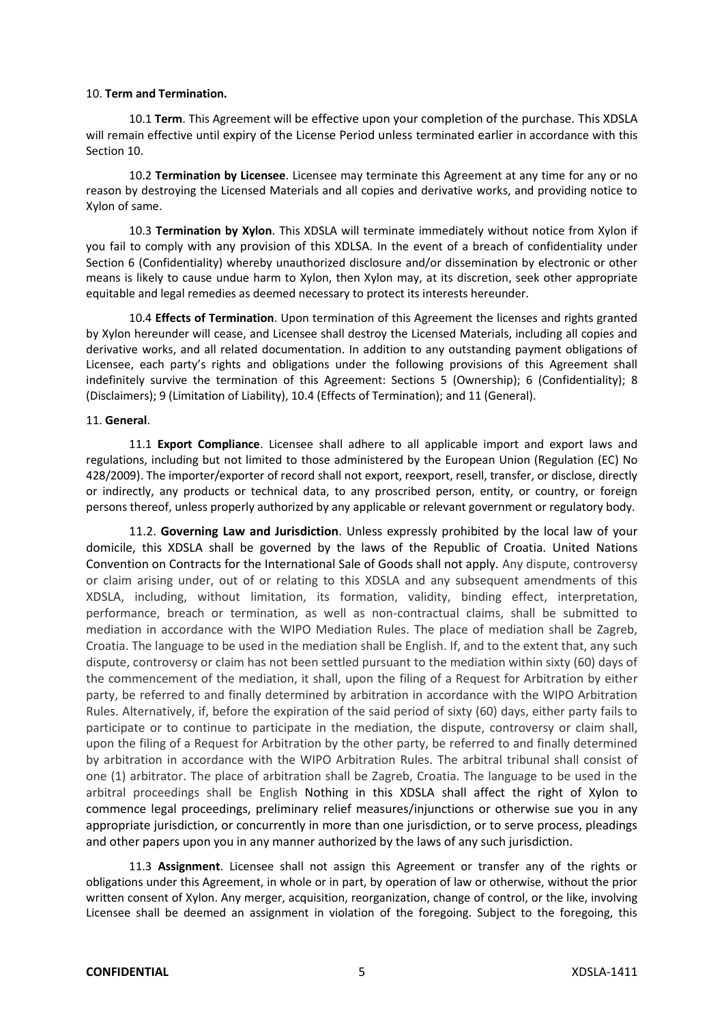### 10. **Term and Termination.**

10.1 **Term**. This Agreement will be effective upon your completion of the purchase. This XDSLA will remain effective until expiry of the License Period unless terminated earlier in accordance with this Section 10.

10.2 **Termination by Licensee**. Licensee may terminate this Agreement at any time for any or no reason by destroying the Licensed Materials and all copies and derivative works, and providing notice to Xylon of same.

10.3 **Termination by Xylon**. This XDSLA will terminate immediately without notice from Xylon if you fail to comply with any provision of this XDLSA. In the event of a breach of confidentiality under Section 6 (Confidentiality) whereby unauthorized disclosure and/or dissemination by electronic or other means is likely to cause undue harm to Xylon, then Xylon may, at its discretion, seek other appropriate equitable and legal remedies as deemed necessary to protect its interests hereunder.

10.4 **Effects of Termination**. Upon termination of this Agreement the licenses and rights granted by Xylon hereunder will cease, and Licensee shall destroy the Licensed Materials, including all copies and derivative works, and all related documentation. In addition to any outstanding payment obligations of Licensee, each party's rights and obligations under the following provisions of this Agreement shall indefinitely survive the termination of this Agreement: Sections 5 (Ownership); 6 (Confidentiality); 8 (Disclaimers); 9 (Limitation of Liability), 10.4 (Effects of Termination); and 11 (General).

### 11. **General**.

11.1 **Export Compliance**. Licensee shall adhere to all applicable import and export laws and regulations, including but not limited to those administered by the European Union (Regulation (EC) No 428/2009). The importer/exporter of record shall not export, reexport, resell, transfer, or disclose, directly or indirectly, any products or technical data, to any proscribed person, entity, or country, or foreign persons thereof, unless properly authorized by any applicable or relevant government or regulatory body.

11.2. **Governing Law and Jurisdiction**. Unless expressly prohibited by the local law of your domicile, this XDSLA shall be governed by the laws of the Republic of Croatia. United Nations Convention on Contracts for the International Sale of Goods shall not apply. Any dispute, controversy or claim arising under, out of or relating to this XDSLA and any subsequent amendments of this XDSLA, including, without limitation, its formation, validity, binding effect, interpretation, performance, breach or termination, as well as non-contractual claims, shall be submitted to mediation in accordance with the WIPO Mediation Rules. The place of mediation shall be Zagreb, Croatia. The language to be used in the mediation shall be English. If, and to the extent that, any such dispute, controversy or claim has not been settled pursuant to the mediation within sixty (60) days of the commencement of the mediation, it shall, upon the filing of a Request for Arbitration by either party, be referred to and finally determined by arbitration in accordance with the WIPO Arbitration Rules. Alternatively, if, before the expiration of the said period of sixty (60) days, either party fails to participate or to continue to participate in the mediation, the dispute, controversy or claim shall, upon the filing of a Request for Arbitration by the other party, be referred to and finally determined by arbitration in accordance with the WIPO Arbitration Rules. The arbitral tribunal shall consist of one (1) arbitrator. The place of arbitration shall be Zagreb, Croatia. The language to be used in the arbitral proceedings shall be English Nothing in this XDSLA shall affect the right of Xylon to commence legal proceedings, preliminary relief measures/injunctions or otherwise sue you in any appropriate jurisdiction, or concurrently in more than one jurisdiction, or to serve process, pleadings and other papers upon you in any manner authorized by the laws of any such jurisdiction.

11.3 **Assignment**. Licensee shall not assign this Agreement or transfer any of the rights or obligations under this Agreement, in whole or in part, by operation of law or otherwise, without the prior written consent of Xylon. Any merger, acquisition, reorganization, change of control, or the like, involving Licensee shall be deemed an assignment in violation of the foregoing. Subject to the foregoing, this